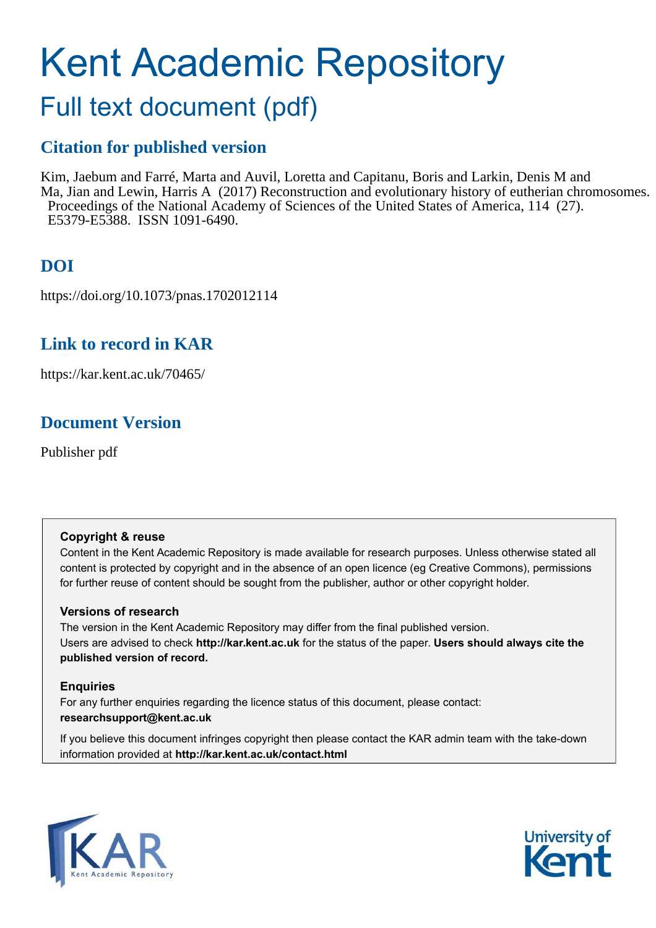# Kent Academic Repository

# Full text document (pdf)

## **Citation for published version**

Kim, Jaebum and Farré, Marta and Auvil, Loretta and Capitanu, Boris and Larkin, Denis M and Ma, Jian and Lewin, Harris A (2017) Reconstruction and evolutionary history of eutherian chromosomes. Proceedings of the National Academy of Sciences of the United States of America, 114 (27). E5379-E5388. ISSN 1091-6490.

# **DOI**

https://doi.org/10.1073/pnas.1702012114

### **Link to record in KAR**

https://kar.kent.ac.uk/70465/

### **Document Version**

Publisher pdf

### **Copyright & reuse**

Content in the Kent Academic Repository is made available for research purposes. Unless otherwise stated all content is protected by copyright and in the absence of an open licence (eg Creative Commons), permissions for further reuse of content should be sought from the publisher, author or other copyright holder.

### **Versions of research**

The version in the Kent Academic Repository may differ from the final published version. Users are advised to check **http://kar.kent.ac.uk** for the status of the paper. **Users should always cite the published version of record.**

### **Enquiries**

For any further enquiries regarding the licence status of this document, please contact: **researchsupport@kent.ac.uk**

If you believe this document infringes copyright then please contact the KAR admin team with the take-down information provided at **http://kar.kent.ac.uk/contact.html**



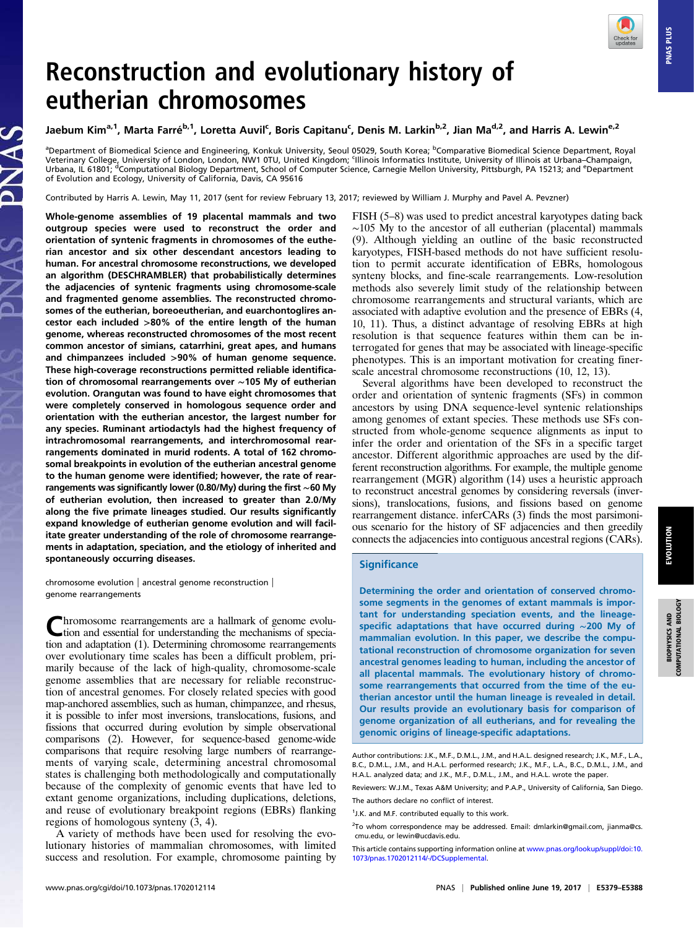

**PINS PLUS** PNAS PLUS

# Reconstruction and evolutionary history of eutherian chromosomes

### Jaebum Kim<sup>a,1</sup>, Marta Farré<sup>b,1</sup>, Loretta Auvil<sup>c</sup>, Boris Capitanu<sup>c</sup>, Denis M. Larkin<sup>b,2</sup>, Jian Ma<sup>d,2</sup>, and Harris A. Lewin<sup>e,2</sup>

<sup>a</sup>Department of Biomedical Science and Engineering, Konkuk University, Seoul 05029, South Korea; <sup>b</sup>Comparative Biomedical Science Department, Royal Veterinary College, University of London, London, NW1 0TU, United Kingdom; <sup>c</sup>illinois Informatics Institute, University of Illinois at Urbana–Champaign,<br>Urbana, IL 61801; <sup>d</sup>Computational Biology Department, School of Com of Evolution and Ecology, University of California, Davis, CA 95616

Contributed by Harris A. Lewin, May 11, 2017 (sent for review February 13, 2017; reviewed by William J. Murphy and Pavel A. Pevzner)

Whole-genome assemblies of 19 placental mammals and two outgroup species were used to reconstruct the order and orientation of syntenic fragments in chromosomes of the eutherian ancestor and six other descendant ancestors leading to human. For ancestral chromosome reconstructions, we developed an algorithm (DESCHRAMBLER) that probabilistically determines the adjacencies of syntenic fragments using chromosome-scale and fragmented genome assemblies. The reconstructed chromosomes of the eutherian, boreoeutherian, and euarchontoglires ancestor each included >80% of the entire length of the human genome, whereas reconstructed chromosomes of the most recent common ancestor of simians, catarrhini, great apes, and humans and chimpanzees included >90% of human genome sequence. These high-coverage reconstructions permitted reliable identification of chromosomal rearrangements over ∼105 My of eutherian evolution. Orangutan was found to have eight chromosomes that were completely conserved in homologous sequence order and orientation with the eutherian ancestor, the largest number for any species. Ruminant artiodactyls had the highest frequency of intrachromosomal rearrangements, and interchromosomal rearrangements dominated in murid rodents. A total of 162 chromosomal breakpoints in evolution of the eutherian ancestral genome to the human genome were identified; however, the rate of rearrangements was significantly lower (0.80/My) during the first ∼60 My of eutherian evolution, then increased to greater than 2.0/My along the five primate lineages studied. Our results significantly expand knowledge of eutherian genome evolution and will facilitate greater understanding of the role of chromosome rearrangements in adaptation, speciation, and the etiology of inherited and spontaneously occurring diseases.

chromosome evolution | ancestral genome reconstruction | genome rearrangements

Chromosome rearrangements are a hallmark of genome evolution and essential for understanding the mechanisms of speciahromosome rearrangements are a hallmark of genome evolution and adaptation (1). Determining chromosome rearrangements over evolutionary time scales has been a difficult problem, primarily because of the lack of high-quality, chromosome-scale genome assemblies that are necessary for reliable reconstruction of ancestral genomes. For closely related species with good map-anchored assemblies, such as human, chimpanzee, and rhesus, it is possible to infer most inversions, translocations, fusions, and fissions that occurred during evolution by simple observational comparisons (2). However, for sequence-based genome-wide comparisons that require resolving large numbers of rearrangements of varying scale, determining ancestral chromosomal states is challenging both methodologically and computationally because of the complexity of genomic events that have led to extant genome organizations, including duplications, deletions, and reuse of evolutionary breakpoint regions (EBRs) flanking regions of homologous synteny (3, 4).

A variety of methods have been used for resolving the evolutionary histories of mammalian chromosomes, with limited success and resolution. For example, chromosome painting by

FISH (5–8) was used to predict ancestral karyotypes dating back  $~\sim$ 105 My to the ancestor of all eutherian (placental) mammals (9). Although yielding an outline of the basic reconstructed karyotypes, FISH-based methods do not have sufficient resolution to permit accurate identification of EBRs, homologous synteny blocks, and fine-scale rearrangements. Low-resolution methods also severely limit study of the relationship between chromosome rearrangements and structural variants, which are associated with adaptive evolution and the presence of EBRs (4, 10, 11). Thus, a distinct advantage of resolving EBRs at high resolution is that sequence features within them can be interrogated for genes that may be associated with lineage-specific phenotypes. This is an important motivation for creating finerscale ancestral chromosome reconstructions (10, 12, 13).

Several algorithms have been developed to reconstruct the order and orientation of syntenic fragments (SFs) in common ancestors by using DNA sequence-level syntenic relationships among genomes of extant species. These methods use SFs constructed from whole-genome sequence alignments as input to infer the order and orientation of the SFs in a specific target ancestor. Different algorithmic approaches are used by the different reconstruction algorithms. For example, the multiple genome rearrangement (MGR) algorithm (14) uses a heuristic approach to reconstruct ancestral genomes by considering reversals (inversions), translocations, fusions, and fissions based on genome rearrangement distance. inferCARs (3) finds the most parsimonious scenario for the history of SF adjacencies and then greedily connects the adjacencies into contiguous ancestral regions (CARs).

### **Significance**

Determining the order and orientation of conserved chromosome segments in the genomes of extant mammals is important for understanding speciation events, and the lineagespecific adaptations that have occurred during ∼200 My of mammalian evolution. In this paper, we describe the computational reconstruction of chromosome organization for seven ancestral genomes leading to human, including the ancestor of all placental mammals. The evolutionary history of chromosome rearrangements that occurred from the time of the eutherian ancestor until the human lineage is revealed in detail. Our results provide an evolutionary basis for comparison of genome organization of all eutherians, and for revealing the genomic origins of lineage-specific adaptations.

Author contributions: J.K., M.F., D.M.L., J.M., and H.A.L. designed research; J.K., M.F., L.A., B.C., D.M.L., J.M., and H.A.L. performed research; J.K., M.F., L.A., B.C., D.M.L., J.M., and H.A.L. analyzed data; and J.K., M.F., D.M.L., J.M., and H.A.L. wrote the paper.

Reviewers: W.J.M., Texas A&M University; and P.A.P., University of California, San Diego. The authors declare no conflict of interest.

<sup>&</sup>lt;sup>1</sup> J.K. and M.F. contributed equally to this work.

<sup>&</sup>lt;sup>2</sup>To whom correspondence may be addressed. Email: [dmlarkin@gmail.com,](mailto:dmlarkin@gmail.com) [jianma@cs.](mailto:jianma@cs.cmu.edu) [cmu.edu,](mailto:jianma@cs.cmu.edu) or [lewin@ucdavis.edu](mailto:lewin@ucdavis.edu).

This article contains supporting information online at [www.pnas.org/lookup/suppl/doi:10.](http://www.pnas.org/lookup/suppl/doi:10.1073/pnas.1702012114/-/DCSupplemental) [1073/pnas.1702012114/-/DCSupplemental](http://www.pnas.org/lookup/suppl/doi:10.1073/pnas.1702012114/-/DCSupplemental).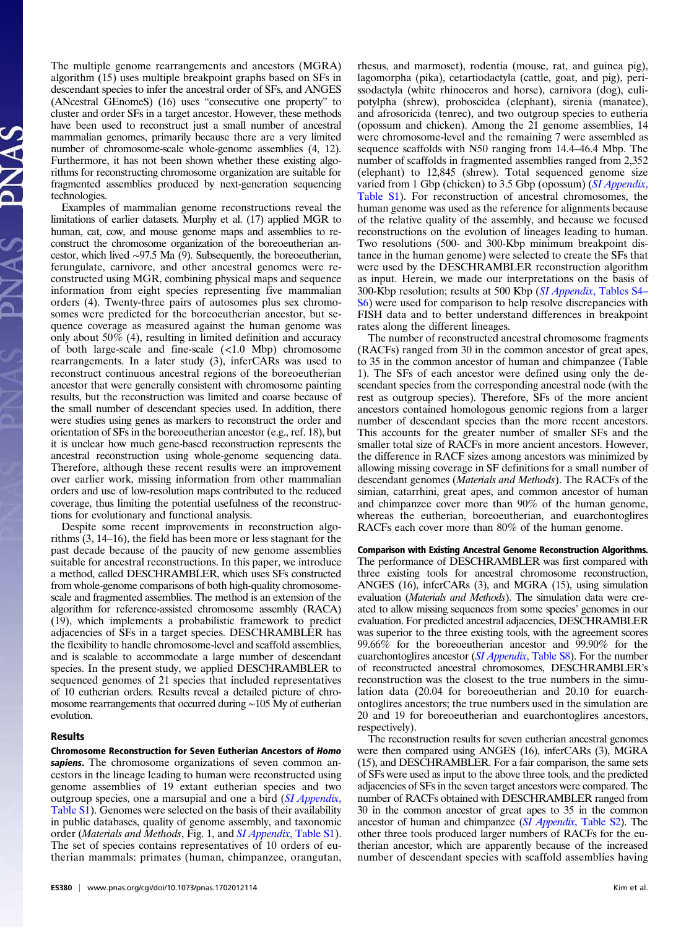The multiple genome rearrangements and ancestors (MGRA) algorithm (15) uses multiple breakpoint graphs based on SFs in descendant species to infer the ancestral order of SFs, and ANGES (ANcestral GEnomeS) (16) uses "consecutive one property" to cluster and order SFs in a target ancestor. However, these methods have been used to reconstruct just a small number of ancestral mammalian genomes, primarily because there are a very limited number of chromosome-scale whole-genome assemblies (4, 12). Furthermore, it has not been shown whether these existing algorithms for reconstructing chromosome organization are suitable for fragmented assemblies produced by next-generation sequencing technologies.

Examples of mammalian genome reconstructions reveal the limitations of earlier datasets. Murphy et al. (17) applied MGR to human, cat, cow, and mouse genome maps and assemblies to reconstruct the chromosome organization of the boreoeutherian ancestor, which lived ∼97.5 Ma (9). Subsequently, the boreoeutherian, ferungulate, carnivore, and other ancestral genomes were reconstructed using MGR, combining physical maps and sequence information from eight species representing five mammalian orders (4). Twenty-three pairs of autosomes plus sex chromosomes were predicted for the boreoeutherian ancestor, but sequence coverage as measured against the human genome was only about 50% (4), resulting in limited definition and accuracy of both large-scale and fine-scale (<1.0 Mbp) chromosome rearrangements. In a later study (3), inferCARs was used to reconstruct continuous ancestral regions of the boreoeutherian ancestor that were generally consistent with chromosome painting results, but the reconstruction was limited and coarse because of the small number of descendant species used. In addition, there were studies using genes as markers to reconstruct the order and orientation of SFs in the boreoeutherian ancestor (e.g., ref. 18), but it is unclear how much gene-based reconstruction represents the ancestral reconstruction using whole-genome sequencing data. Therefore, although these recent results were an improvement over earlier work, missing information from other mammalian orders and use of low-resolution maps contributed to the reduced coverage, thus limiting the potential usefulness of the reconstructions for evolutionary and functional analysis.

Despite some recent improvements in reconstruction algorithms (3, 14–16), the field has been more or less stagnant for the past decade because of the paucity of new genome assemblies suitable for ancestral reconstructions. In this paper, we introduce a method, called DESCHRAMBLER, which uses SFs constructed from whole-genome comparisons of both high-quality chromosomescale and fragmented assemblies. The method is an extension of the algorithm for reference-assisted chromosome assembly (RACA) (19), which implements a probabilistic framework to predict adjacencies of SFs in a target species. DESCHRAMBLER has the flexibility to handle chromosome-level and scaffold assemblies, and is scalable to accommodate a large number of descendant species. In the present study, we applied DESCHRAMBLER to sequenced genomes of 21 species that included representatives of 10 eutherian orders. Results reveal a detailed picture of chromosome rearrangements that occurred during ∼105 My of eutherian evolution.

### Results

Chromosome Reconstruction for Seven Eutherian Ancestors of Homo sapiens. The chromosome organizations of seven common ancestors in the lineage leading to human were reconstructed using genome assemblies of 19 extant eutherian species and two outgroup species, one a marsupial and one a bird ([SI Appendix](http://www.pnas.org/lookup/suppl/doi:10.1073/pnas.1702012114/-/DCSupplemental/pnas.1702012114.sapp.pdf), [Table S1](http://www.pnas.org/lookup/suppl/doi:10.1073/pnas.1702012114/-/DCSupplemental/pnas.1702012114.sapp.pdf)). Genomes were selected on the basis of their availability in public databases, quality of genome assembly, and taxonomic order (Materials and Methods, Fig. 1, and *[SI Appendix](http://www.pnas.org/lookup/suppl/doi:10.1073/pnas.1702012114/-/DCSupplemental/pnas.1702012114.sapp.pdf)*, Table S1). The set of species contains representatives of 10 orders of eutherian mammals: primates (human, chimpanzee, orangutan,

rhesus, and marmoset), rodentia (mouse, rat, and guinea pig), lagomorpha (pika), cetartiodactyla (cattle, goat, and pig), perissodactyla (white rhinoceros and horse), carnivora (dog), eulipotylpha (shrew), proboscidea (elephant), sirenia (manatee), and afrosoricida (tenrec), and two outgroup species to eutheria (opossum and chicken). Among the 21 genome assemblies, 14 were chromosome-level and the remaining 7 were assembled as sequence scaffolds with N50 ranging from 14.4–46.4 Mbp. The number of scaffolds in fragmented assemblies ranged from 2,352 (elephant) to 12,845 (shrew). Total sequenced genome size varied from 1 Gbp (chicken) to 3.5 Gbp (opossum) ([SI Appendix](http://www.pnas.org/lookup/suppl/doi:10.1073/pnas.1702012114/-/DCSupplemental/pnas.1702012114.sapp.pdf), [Table S1\)](http://www.pnas.org/lookup/suppl/doi:10.1073/pnas.1702012114/-/DCSupplemental/pnas.1702012114.sapp.pdf). For reconstruction of ancestral chromosomes, the human genome was used as the reference for alignments because of the relative quality of the assembly, and because we focused reconstructions on the evolution of lineages leading to human. Two resolutions (500- and 300-Kbp minimum breakpoint distance in the human genome) were selected to create the SFs that were used by the DESCHRAMBLER reconstruction algorithm as input. Herein, we made our interpretations on the basis of 300-Kbp resolution; results at 500 Kbp ([SI Appendix](http://www.pnas.org/lookup/suppl/doi:10.1073/pnas.1702012114/-/DCSupplemental/pnas.1702012114.sapp.pdf), Tables S4– [S6\)](http://www.pnas.org/lookup/suppl/doi:10.1073/pnas.1702012114/-/DCSupplemental/pnas.1702012114.sapp.pdf) were used for comparison to help resolve discrepancies with FISH data and to better understand differences in breakpoint rates along the different lineages.

The number of reconstructed ancestral chromosome fragments (RACFs) ranged from 30 in the common ancestor of great apes, to 35 in the common ancestor of human and chimpanzee (Table 1). The SFs of each ancestor were defined using only the descendant species from the corresponding ancestral node (with the rest as outgroup species). Therefore, SFs of the more ancient ancestors contained homologous genomic regions from a larger number of descendant species than the more recent ancestors. This accounts for the greater number of smaller SFs and the smaller total size of RACFs in more ancient ancestors. However, the difference in RACF sizes among ancestors was minimized by allowing missing coverage in SF definitions for a small number of descendant genomes (Materials and Methods). The RACFs of the simian, catarrhini, great apes, and common ancestor of human and chimpanzee cover more than 90% of the human genome, whereas the eutherian, boreoeutherian, and euarchontoglires RACFs each cover more than 80% of the human genome.

Comparison with Existing Ancestral Genome Reconstruction Algorithms. The performance of DESCHRAMBLER was first compared with three existing tools for ancestral chromosome reconstruction, ANGES (16), inferCARs (3), and MGRA (15), using simulation evaluation (Materials and Methods). The simulation data were created to allow missing sequences from some species' genomes in our evaluation. For predicted ancestral adjacencies, DESCHRAMBLER was superior to the three existing tools, with the agreement scores 99.66% for the boreoeutherian ancestor and 99.90% for the euarchontoglires ancestor ([SI Appendix](http://www.pnas.org/lookup/suppl/doi:10.1073/pnas.1702012114/-/DCSupplemental/pnas.1702012114.sapp.pdf), Table S8). For the number of reconstructed ancestral chromosomes, DESCHRAMBLER's reconstruction was the closest to the true numbers in the simulation data (20.04 for boreoeutherian and 20.10 for euarchontoglires ancestors; the true numbers used in the simulation are 20 and 19 for boreoeutherian and euarchontoglires ancestors, respectively).

The reconstruction results for seven eutherian ancestral genomes were then compared using ANGES (16), inferCARs (3), MGRA (15), and DESCHRAMBLER. For a fair comparison, the same sets of SFs were used as input to the above three tools, and the predicted adjacencies of SFs in the seven target ancestors were compared. The number of RACFs obtained with DESCHRAMBLER ranged from 30 in the common ancestor of great apes to 35 in the common ancestor of human and chimpanzee ([SI Appendix](http://www.pnas.org/lookup/suppl/doi:10.1073/pnas.1702012114/-/DCSupplemental/pnas.1702012114.sapp.pdf), Table S2). The other three tools produced larger numbers of RACFs for the eutherian ancestor, which are apparently because of the increased number of descendant species with scaffold assemblies having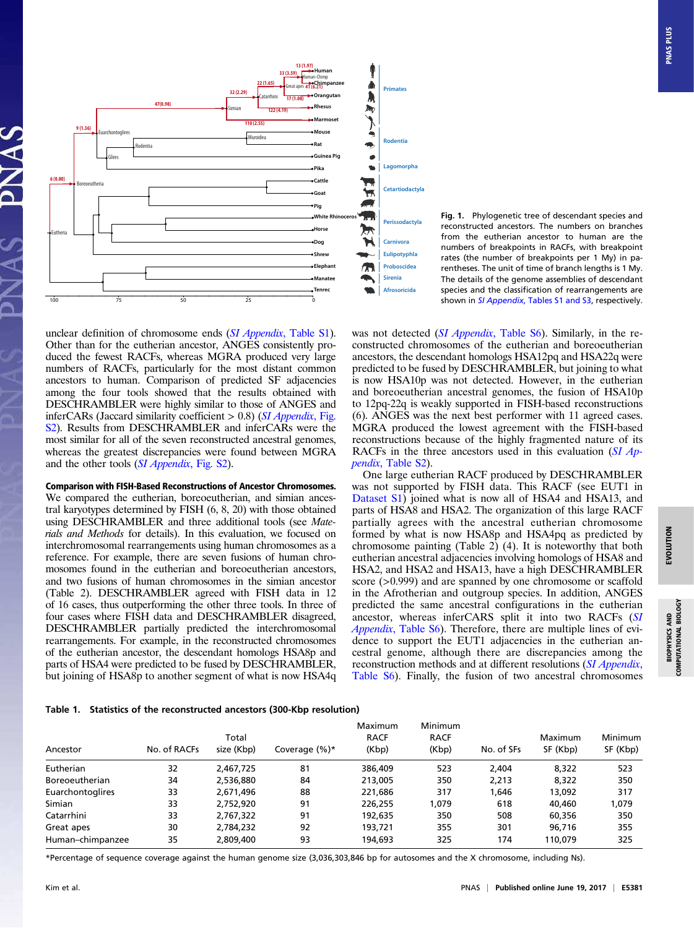

Fig. 1. Phylogenetic tree of descendant species and reconstructed ancestors. The numbers on branches from the eutherian ancestor to human are the numbers of breakpoints in RACFs, with breakpoint rates (the number of breakpoints per 1 My) in parentheses. The unit of time of branch lengths is 1 My. The details of the genome assemblies of descendant species and the classification of rearrangements are shown in SI Appendix[, Tables S1 and S3,](http://www.pnas.org/lookup/suppl/doi:10.1073/pnas.1702012114/-/DCSupplemental/pnas.1702012114.sapp.pdf) respectively.

unclear definition of chromosome ends ([SI Appendix](http://www.pnas.org/lookup/suppl/doi:10.1073/pnas.1702012114/-/DCSupplemental/pnas.1702012114.sapp.pdf), Table S1). Other than for the eutherian ancestor, ANGES consistently produced the fewest RACFs, whereas MGRA produced very large numbers of RACFs, particularly for the most distant common ancestors to human. Comparison of predicted SF adjacencies among the four tools showed that the results obtained with DESCHRAMBLER were highly similar to those of ANGES and inferCARs (Jaccard similarity coefficient  $> 0.8$ ) (*[SI Appendix](http://www.pnas.org/lookup/suppl/doi:10.1073/pnas.1702012114/-/DCSupplemental/pnas.1702012114.sapp.pdf)*, Fig. [S2](http://www.pnas.org/lookup/suppl/doi:10.1073/pnas.1702012114/-/DCSupplemental/pnas.1702012114.sapp.pdf)). Results from DESCHRAMBLER and inferCARs were the most similar for all of the seven reconstructed ancestral genomes, whereas the greatest discrepancies were found between MGRA and the other tools ([SI Appendix](http://www.pnas.org/lookup/suppl/doi:10.1073/pnas.1702012114/-/DCSupplemental/pnas.1702012114.sapp.pdf), Fig. S2).

### Comparison with FISH-Based Reconstructions of Ancestor Chromosomes.

We compared the eutherian, boreoeutherian, and simian ancestral karyotypes determined by FISH (6, 8, 20) with those obtained using DESCHRAMBLER and three additional tools (see Materials and Methods for details). In this evaluation, we focused on interchromosomal rearrangements using human chromosomes as a reference. For example, there are seven fusions of human chromosomes found in the eutherian and boreoeutherian ancestors, and two fusions of human chromosomes in the simian ancestor (Table 2). DESCHRAMBLER agreed with FISH data in 12 of 16 cases, thus outperforming the other three tools. In three of four cases where FISH data and DESCHRAMBLER disagreed, DESCHRAMBLER partially predicted the interchromosomal rearrangements. For example, in the reconstructed chromosomes of the eutherian ancestor, the descendant homologs HSA8p and parts of HSA4 were predicted to be fused by DESCHRAMBLER, but joining of HSA8p to another segment of what is now HSA4q

was not detected ([SI Appendix](http://www.pnas.org/lookup/suppl/doi:10.1073/pnas.1702012114/-/DCSupplemental/pnas.1702012114.sapp.pdf), Table S6). Similarly, in the reconstructed chromosomes of the eutherian and boreoeutherian ancestors, the descendant homologs HSA12pq and HSA22q were predicted to be fused by DESCHRAMBLER, but joining to what is now HSA10p was not detected. However, in the eutherian and boreoeutherian ancestral genomes, the fusion of HSA10p to 12pq-22q is weakly supported in FISH-based reconstructions (6). ANGES was the next best performer with 11 agreed cases. MGRA produced the lowest agreement with the FISH-based reconstructions because of the highly fragmented nature of its RACFs in the three ancestors used in this evaluation ([SI Ap](http://www.pnas.org/lookup/suppl/doi:10.1073/pnas.1702012114/-/DCSupplemental/pnas.1702012114.sapp.pdf)pendix[, Table S2](http://www.pnas.org/lookup/suppl/doi:10.1073/pnas.1702012114/-/DCSupplemental/pnas.1702012114.sapp.pdf)).

One large eutherian RACF produced by DESCHRAMBLER was not supported by FISH data. This RACF (see EUT1 in [Dataset S1](http://www.pnas.org/lookup/suppl/doi:10.1073/pnas.1702012114/-/DCSupplemental/pnas.1702012114.sd01.xlsx)) joined what is now all of HSA4 and HSA13, and parts of HSA8 and HSA2. The organization of this large RACF partially agrees with the ancestral eutherian chromosome formed by what is now HSA8p and HSA4pq as predicted by chromosome painting (Table 2) (4). It is noteworthy that both eutherian ancestral adjacencies involving homologs of HSA8 and HSA2, and HSA2 and HSA13, have a high DESCHRAMBLER score (>0.999) and are spanned by one chromosome or scaffold in the Afrotherian and outgroup species. In addition, ANGES predicted the same ancestral configurations in the eutherian ancestor, whereas inferCARS split it into two RACFs ([SI](http://www.pnas.org/lookup/suppl/doi:10.1073/pnas.1702012114/-/DCSupplemental/pnas.1702012114.sapp.pdf) Appendix[, Table S6](http://www.pnas.org/lookup/suppl/doi:10.1073/pnas.1702012114/-/DCSupplemental/pnas.1702012114.sapp.pdf)). Therefore, there are multiple lines of evidence to support the EUT1 adjacencies in the eutherian ancestral genome, although there are discrepancies among the reconstruction methods and at different resolutions ([SI Appendix](http://www.pnas.org/lookup/suppl/doi:10.1073/pnas.1702012114/-/DCSupplemental/pnas.1702012114.sapp.pdf), [Table S6\)](http://www.pnas.org/lookup/suppl/doi:10.1073/pnas.1702012114/-/DCSupplemental/pnas.1702012114.sapp.pdf). Finally, the fusion of two ancestral chromosomes

|  |  | Table 1. Statistics of the reconstructed ancestors (300-Kbp resolution) |  |
|--|--|-------------------------------------------------------------------------|--|
|--|--|-------------------------------------------------------------------------|--|

| Ancestor              | No. of RACFs | Total<br>size (Kbp) | Coverage $(\%)^*$ | Maximum<br><b>RACF</b><br>(Kbp) | Minimum<br><b>RACF</b><br>(Kbp) | No. of SFs | Maximum<br>SF (Kbp) | Minimum<br>SF (Kbp) |
|-----------------------|--------------|---------------------|-------------------|---------------------------------|---------------------------------|------------|---------------------|---------------------|
| Eutherian             | 32           | 2.467.725           | 81                | 386.409                         | 523                             | 2.404      | 8.322               | 523                 |
| <b>Boreoeutherian</b> | 34           | 2,536,880           | 84                | 213,005                         | 350                             | 2,213      | 8,322               | 350                 |
| Euarchontoglires      | 33           | 2,671,496           | 88                | 221,686                         | 317                             | 1.646      | 13,092              | 317                 |
| Simian                | 33           | 2,752,920           | 91                | 226.255                         | .079                            | 618        | 40,460              | 1,079               |
| Catarrhini            | 33           | 2.767.322           | 91                | 192.635                         | 350                             | 508        | 60,356              | 350                 |
| Great apes            | 30           | 2.784.232           | 92                | 193.721                         | 355                             | 301        | 96.716              | 355                 |
| Human-chimpanzee      | 35           | 2,809,400           | 93                | 194.693                         | 325                             | 174        | 110.079             | 325                 |

\*Percentage of sequence coverage against the human genome size (3,036,303,846 bp for autosomes and the X chromosome, including Ns).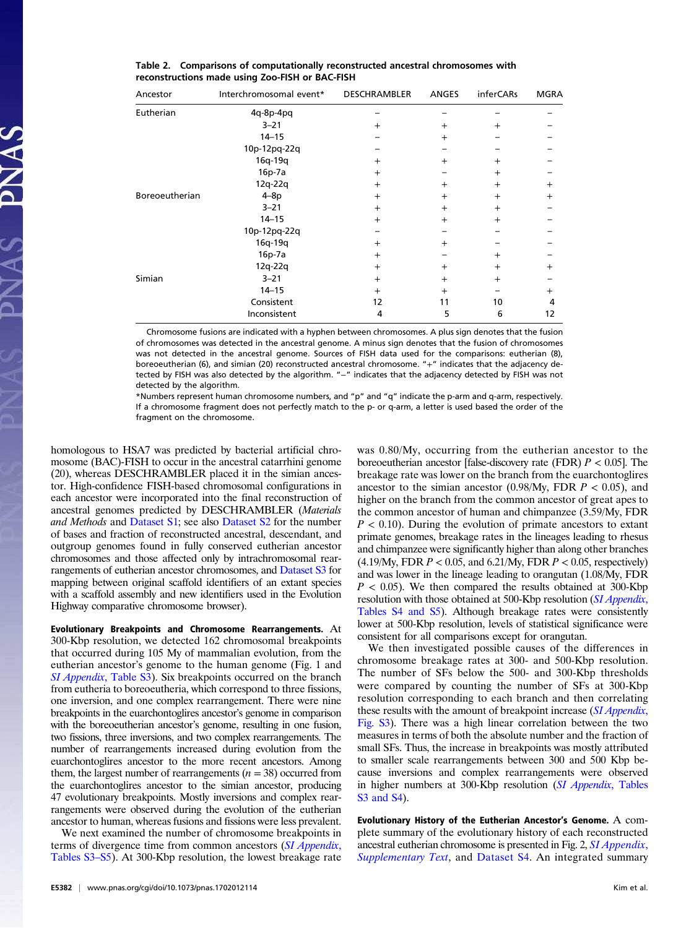| Ancestor       | Interchromosomal event* | <b>DESCHRAMBLER</b> | ANGES          | inferCARs | <b>MGRA</b> |
|----------------|-------------------------|---------------------|----------------|-----------|-------------|
| Eutherian      | 4q-8p-4pq               |                     |                |           |             |
|                | $3 - 21$                | $^{+}$              | $\overline{+}$ | $^{+}$    |             |
|                | $14 - 15$               |                     | $^{+}$         |           |             |
|                | 10p-12pq-22q            |                     |                |           |             |
|                | $16q-19q$               | $^{+}$              | $+$            | $^{+}$    |             |
|                | $16p-7a$                | $^{+}$              |                | $^{+}$    |             |
|                | $12q-22q$               | $^{+}$              | $^{+}$         | $^{+}$    | $^{+}$      |
| Boreoeutherian | $4 - 8p$                | $^{+}$              | $^{+}$         | $^{+}$    | $^{+}$      |
|                | $3 - 21$                | $^{+}$              | $+$            | $^{+}$    |             |
|                | $14 - 15$               | $^{+}$              | $+$            | $^{+}$    |             |
|                | 10p-12pq-22q            |                     |                |           |             |
|                | $16q-19q$               | $^{+}$              | $^{+}$         |           |             |
|                | $16p-7a$                | $^{+}$              |                | $^{+}$    |             |
|                | $12q-22q$               | $^{+}$              | $+$            | $^{+}$    | $^{+}$      |
| Simian         | $3 - 21$                | $^{+}$              | $+$            | $^{+}$    |             |
|                | $14 - 15$               | $^{+}$              | $^{+}$         |           | $^{+}$      |
|                | Consistent              | 12                  | 11             | 10        | 4           |
|                | Inconsistent            | 4                   | 5              | 6         | 12          |

Table 2. Comparisons of computationally reconstructed ancestral chromosomes with reconstructions made using Zoo-FISH or BAC-FISH

Chromosome fusions are indicated with a hyphen between chromosomes. A plus sign denotes that the fusion of chromosomes was detected in the ancestral genome. A minus sign denotes that the fusion of chromosomes was not detected in the ancestral genome. Sources of FISH data used for the comparisons: eutherian (8), boreoeutherian (6), and simian (20) reconstructed ancestral chromosome. "+" indicates that the adjacency detected by FISH was also detected by the algorithm. "−" indicates that the adjacency detected by FISH was not detected by the algorithm.

\*Numbers represent human chromosome numbers, and "p" and "q" indicate the p-arm and q-arm, respectively. If a chromosome fragment does not perfectly match to the p- or q-arm, a letter is used based the order of the fragment on the chromosome.

homologous to HSA7 was predicted by bacterial artificial chromosome (BAC)-FISH to occur in the ancestral catarrhini genome (20), whereas DESCHRAMBLER placed it in the simian ancestor. High-confidence FISH-based chromosomal configurations in each ancestor were incorporated into the final reconstruction of ancestral genomes predicted by DESCHRAMBLER (Materials and Methods and [Dataset S1](http://www.pnas.org/lookup/suppl/doi:10.1073/pnas.1702012114/-/DCSupplemental/pnas.1702012114.sd01.xlsx); see also [Dataset S2](http://www.pnas.org/lookup/suppl/doi:10.1073/pnas.1702012114/-/DCSupplemental/pnas.1702012114.sd02.xlsx) for the number of bases and fraction of reconstructed ancestral, descendant, and outgroup genomes found in fully conserved eutherian ancestor chromosomes and those affected only by intrachromosomal rearrangements of eutherian ancestor chromosomes, and [Dataset S3](http://www.pnas.org/lookup/suppl/doi:10.1073/pnas.1702012114/-/DCSupplemental/pnas.1702012114.sd03.xlsx) for mapping between original scaffold identifiers of an extant species with a scaffold assembly and new identifiers used in the Evolution Highway comparative chromosome browser).

Evolutionary Breakpoints and Chromosome Rearrangements. At 300-Kbp resolution, we detected 162 chromosomal breakpoints that occurred during 105 My of mammalian evolution, from the eutherian ancestor's genome to the human genome (Fig. 1 and [SI Appendix](http://www.pnas.org/lookup/suppl/doi:10.1073/pnas.1702012114/-/DCSupplemental/pnas.1702012114.sapp.pdf), Table S3). Six breakpoints occurred on the branch from eutheria to boreoeutheria, which correspond to three fissions, one inversion, and one complex rearrangement. There were nine breakpoints in the euarchontoglires ancestor's genome in comparison with the boreoeutherian ancestor's genome, resulting in one fusion, two fissions, three inversions, and two complex rearrangements. The number of rearrangements increased during evolution from the euarchontoglires ancestor to the more recent ancestors. Among them, the largest number of rearrangements ( $n = 38$ ) occurred from the euarchontoglires ancestor to the simian ancestor, producing 47 evolutionary breakpoints. Mostly inversions and complex rearrangements were observed during the evolution of the eutherian ancestor to human, whereas fusions and fissions were less prevalent.

We next examined the number of chromosome breakpoints in terms of divergence time from common ancestors ([SI Appendix](http://www.pnas.org/lookup/suppl/doi:10.1073/pnas.1702012114/-/DCSupplemental/pnas.1702012114.sapp.pdf), [Tables S3](http://www.pnas.org/lookup/suppl/doi:10.1073/pnas.1702012114/-/DCSupplemental/pnas.1702012114.sapp.pdf)–[S5\)](http://www.pnas.org/lookup/suppl/doi:10.1073/pnas.1702012114/-/DCSupplemental/pnas.1702012114.sapp.pdf). At 300-Kbp resolution, the lowest breakage rate was 0.80/My, occurring from the eutherian ancestor to the boreoeutherian ancestor [false-discovery rate (FDR)  $P < 0.05$ ]. The breakage rate was lower on the branch from the euarchontoglires ancestor to the simian ancestor (0.98/My, FDR  $P < 0.05$ ), and higher on the branch from the common ancestor of great apes to the common ancestor of human and chimpanzee (3.59/My, FDR  $P < 0.10$ ). During the evolution of primate ancestors to extant primate genomes, breakage rates in the lineages leading to rhesus and chimpanzee were significantly higher than along other branches (4.19/My, FDR  $P < 0.05$ , and 6.21/My, FDR  $P < 0.05$ , respectively) and was lower in the lineage leading to orangutan (1.08/My, FDR  $P < 0.05$ ). We then compared the results obtained at 300-Kbp resolution with those obtained at 500-Kbp resolution ([SI Appendix](http://www.pnas.org/lookup/suppl/doi:10.1073/pnas.1702012114/-/DCSupplemental/pnas.1702012114.sapp.pdf), [Tables S4 and S5\)](http://www.pnas.org/lookup/suppl/doi:10.1073/pnas.1702012114/-/DCSupplemental/pnas.1702012114.sapp.pdf). Although breakage rates were consistently lower at 500-Kbp resolution, levels of statistical significance were consistent for all comparisons except for orangutan.

We then investigated possible causes of the differences in chromosome breakage rates at 300- and 500-Kbp resolution. The number of SFs below the 500- and 300-Kbp thresholds were compared by counting the number of SFs at 300-Kbp resolution corresponding to each branch and then correlating these results with the amount of breakpoint increase (*[SI Appendix](http://www.pnas.org/lookup/suppl/doi:10.1073/pnas.1702012114/-/DCSupplemental/pnas.1702012114.sapp.pdf)*, [Fig. S3\)](http://www.pnas.org/lookup/suppl/doi:10.1073/pnas.1702012114/-/DCSupplemental/pnas.1702012114.sapp.pdf). There was a high linear correlation between the two measures in terms of both the absolute number and the fraction of small SFs. Thus, the increase in breakpoints was mostly attributed to smaller scale rearrangements between 300 and 500 Kbp because inversions and complex rearrangements were observed in higher numbers at 300-Kbp resolution ([SI Appendix](http://www.pnas.org/lookup/suppl/doi:10.1073/pnas.1702012114/-/DCSupplemental/pnas.1702012114.sapp.pdf), Tables [S3 and S4](http://www.pnas.org/lookup/suppl/doi:10.1073/pnas.1702012114/-/DCSupplemental/pnas.1702012114.sapp.pdf)).

Evolutionary History of the Eutherian Ancestor's Genome. A complete summary of the evolutionary history of each reconstructed ancestral eutherian chromosome is presented in Fig. 2, [SI Appendix](http://www.pnas.org/lookup/suppl/doi:10.1073/pnas.1702012114/-/DCSupplemental/pnas.1702012114.sapp.pdf), [Supplementary Text](http://www.pnas.org/lookup/suppl/doi:10.1073/pnas.1702012114/-/DCSupplemental/pnas.1702012114.sapp.pdf), and [Dataset S4](http://www.pnas.org/lookup/suppl/doi:10.1073/pnas.1702012114/-/DCSupplemental/pnas.1702012114.sd04.pdf). An integrated summary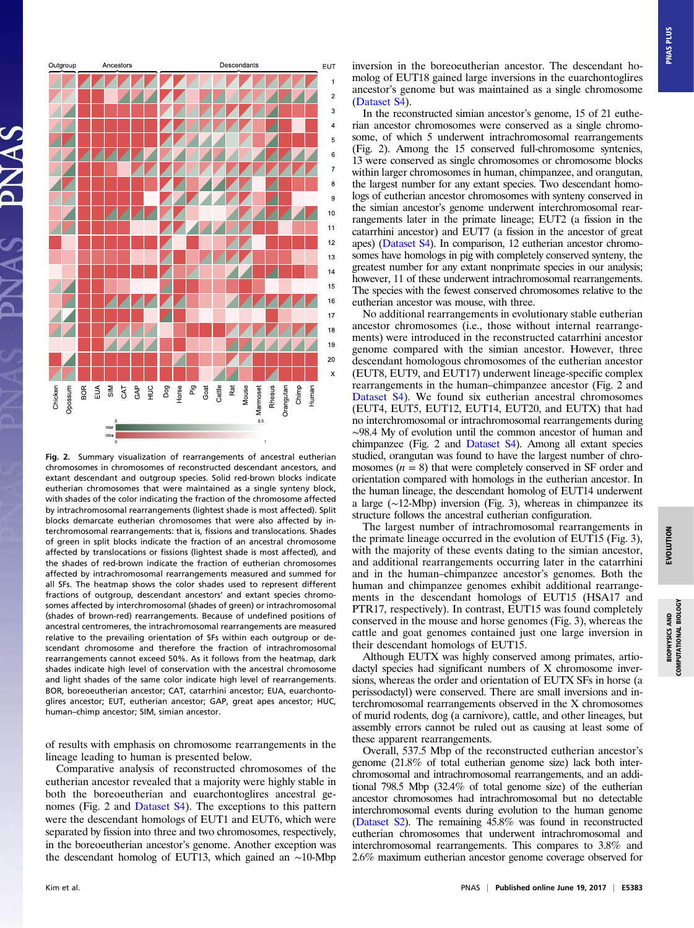

Fig. 2. Summary visualization of rearrangements of ancestral eutherian chromosomes in chromosomes of reconstructed descendant ancestors, and extant descendant and outgroup species. Solid red-brown blocks indicate eutherian chromosomes that were maintained as a single synteny block, with shades of the color indicating the fraction of the chromosome affected by intrachromosomal rearrangements (lightest shade is most affected). Split blocks demarcate eutherian chromosomes that were also affected by interchromosomal rearrangements: that is, fissions and translocations. Shades of green in split blocks indicate the fraction of an ancestral chromosome affected by translocations or fissions (lightest shade is most affected), and the shades of red-brown indicate the fraction of eutherian chromosomes affected by intrachromosomal rearrangements measured and summed for all SFs. The heatmap shows the color shades used to represent different fractions of outgroup, descendant ancestors' and extant species chromosomes affected by interchromosomal (shades of green) or intrachromosomal (shades of brown-red) rearrangements. Because of undefined positions of ancestral centromeres, the intrachromosomal rearrangements are measured relative to the prevailing orientation of SFs within each outgroup or descendant chromosome and therefore the fraction of intrachromosomal rearrangements cannot exceed 50%. As it follows from the heatmap, dark shades indicate high level of conservation with the ancestral chromosome and light shades of the same color indicate high level of rearrangements. BOR, boreoeutherian ancestor; CAT, catarrhini ancestor; EUA, euarchontoglires ancestor; EUT, eutherian ancestor; GAP, great apes ancestor; HUC, human–chimp ancestor; SIM, simian ancestor.

of results with emphasis on chromosome rearrangements in the lineage leading to human is presented below.

Comparative analysis of reconstructed chromosomes of the eutherian ancestor revealed that a majority were highly stable in both the boreoeutherian and euarchontoglires ancestral genomes (Fig. 2 and [Dataset S4](http://www.pnas.org/lookup/suppl/doi:10.1073/pnas.1702012114/-/DCSupplemental/pnas.1702012114.sd04.pdf)). The exceptions to this pattern were the descendant homologs of EUT1 and EUT6, which were separated by fission into three and two chromosomes, respectively, in the boreoeutherian ancestor's genome. Another exception was the descendant homolog of EUT13, which gained an ∼10-Mbp

inversion in the boreoeutherian ancestor. The descendant homolog of EUT18 gained large inversions in the euarchontoglires ancestor's genome but was maintained as a single chromosome [\(Dataset S4\)](http://www.pnas.org/lookup/suppl/doi:10.1073/pnas.1702012114/-/DCSupplemental/pnas.1702012114.sd04.pdf).

In the reconstructed simian ancestor's genome, 15 of 21 eutherian ancestor chromosomes were conserved as a single chromosome, of which 5 underwent intrachromosomal rearrangements (Fig. 2). Among the 15 conserved full-chromosome syntenies, 13 were conserved as single chromosomes or chromosome blocks within larger chromosomes in human, chimpanzee, and orangutan, the largest number for any extant species. Two descendant homologs of eutherian ancestor chromosomes with synteny conserved in the simian ancestor's genome underwent interchromosomal rearrangements later in the primate lineage; EUT2 (a fission in the catarrhini ancestor) and EUT7 (a fission in the ancestor of great apes) [\(Dataset S4](http://www.pnas.org/lookup/suppl/doi:10.1073/pnas.1702012114/-/DCSupplemental/pnas.1702012114.sd04.pdf)). In comparison, 12 eutherian ancestor chromosomes have homologs in pig with completely conserved synteny, the greatest number for any extant nonprimate species in our analysis; however, 11 of these underwent intrachromosomal rearrangements. The species with the fewest conserved chromosomes relative to the eutherian ancestor was mouse, with three.

No additional rearrangements in evolutionary stable eutherian ancestor chromosomes (i.e., those without internal rearrangements) were introduced in the reconstructed catarrhini ancestor genome compared with the simian ancestor. However, three descendant homologous chromosomes of the eutherian ancestor (EUT8, EUT9, and EUT17) underwent lineage-specific complex rearrangements in the human–chimpanzee ancestor (Fig. 2 and [Dataset S4](http://www.pnas.org/lookup/suppl/doi:10.1073/pnas.1702012114/-/DCSupplemental/pnas.1702012114.sd04.pdf)). We found six eutherian ancestral chromosomes (EUT4, EUT5, EUT12, EUT14, EUT20, and EUTX) that had no interchromosomal or intrachromosomal rearrangements during ∼98.4 My of evolution until the common ancestor of human and chimpanzee (Fig. 2 and [Dataset S4\)](http://www.pnas.org/lookup/suppl/doi:10.1073/pnas.1702012114/-/DCSupplemental/pnas.1702012114.sd04.pdf). Among all extant species studied, orangutan was found to have the largest number of chromosomes  $(n = 8)$  that were completely conserved in SF order and orientation compared with homologs in the eutherian ancestor. In the human lineage, the descendant homolog of EUT14 underwent a large (∼12-Mbp) inversion (Fig. 3), whereas in chimpanzee its structure follows the ancestral eutherian configuration.

The largest number of intrachromosomal rearrangements in the primate lineage occurred in the evolution of EUT15 (Fig. 3), with the majority of these events dating to the simian ancestor, and additional rearrangements occurring later in the catarrhini and in the human–chimpanzee ancestor's genomes. Both the human and chimpanzee genomes exhibit additional rearrangements in the descendant homologs of EUT15 (HSA17 and PTR17, respectively). In contrast, EUT15 was found completely conserved in the mouse and horse genomes (Fig. 3), whereas the cattle and goat genomes contained just one large inversion in their descendant homologs of EUT15.

Although EUTX was highly conserved among primates, artiodactyl species had significant numbers of X chromosome inversions, whereas the order and orientation of EUTX SFs in horse (a perissodactyl) were conserved. There are small inversions and interchromosomal rearrangements observed in the X chromosomes of murid rodents, dog (a carnivore), cattle, and other lineages, but assembly errors cannot be ruled out as causing at least some of these apparent rearrangements.

Overall, 537.5 Mbp of the reconstructed eutherian ancestor's genome (21.8% of total eutherian genome size) lack both interchromosomal and intrachromosomal rearrangements, and an additional 798.5 Mbp (32.4% of total genome size) of the eutherian ancestor chromosomes had intrachromosomal but no detectable interchromosomal events during evolution to the human genome [\(Dataset S2](http://www.pnas.org/lookup/suppl/doi:10.1073/pnas.1702012114/-/DCSupplemental/pnas.1702012114.sd02.xlsx)). The remaining 45.8% was found in reconstructed eutherian chromosomes that underwent intrachromosomal and interchromosomal rearrangements. This compares to 3.8% and 2.6% maximum eutherian ancestor genome coverage observed for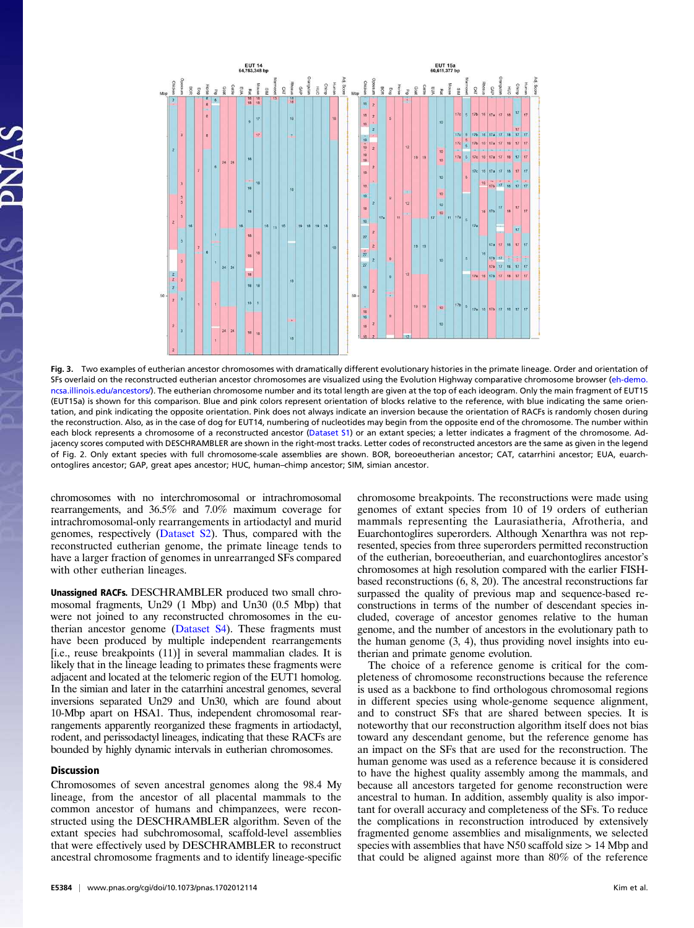

Fig. 3. Two examples of eutherian ancestor chromosomes with dramatically different evolutionary histories in the primate lineage. Order and orientation of SFs overlaid on the reconstructed eutherian ancestor chromosomes are visualized using the Evolution Highway comparative chromosome browser ([eh-demo.](http://eh-demo.ncsa.illinois.edu/ancestors/) [ncsa.illinois.edu/ancestors/](http://eh-demo.ncsa.illinois.edu/ancestors/)). The eutherian chromosome number and its total length are given at the top of each ideogram. Only the main fragment of EUT15 (EUT15a) is shown for this comparison. Blue and pink colors represent orientation of blocks relative to the reference, with blue indicating the same orientation, and pink indicating the opposite orientation. Pink does not always indicate an inversion because the orientation of RACFs is randomly chosen during the reconstruction. Also, as in the case of dog for EUT14, numbering of nucleotides may begin from the opposite end of the chromosome. The number within each block represents a chromosome of a reconstructed ancestor ([Dataset S1](http://www.pnas.org/lookup/suppl/doi:10.1073/pnas.1702012114/-/DCSupplemental/pnas.1702012114.sd01.xlsx)) or an extant species; a letter indicates a fragment of the chromosome. Adjacency scores computed with DESCHRAMBLER are shown in the right-most tracks. Letter codes of reconstructed ancestors are the same as given in the legend of Fig. 2. Only extant species with full chromosome-scale assemblies are shown. BOR, boreoeutherian ancestor; CAT, catarrhini ancestor; EUA, euarchontoglires ancestor; GAP, great apes ancestor; HUC, human–chimp ancestor; SIM, simian ancestor.

chromosomes with no interchromosomal or intrachromosomal rearrangements, and 36.5% and 7.0% maximum coverage for intrachromosomal-only rearrangements in artiodactyl and murid genomes, respectively ([Dataset S2\)](http://www.pnas.org/lookup/suppl/doi:10.1073/pnas.1702012114/-/DCSupplemental/pnas.1702012114.sd02.xlsx). Thus, compared with the reconstructed eutherian genome, the primate lineage tends to have a larger fraction of genomes in unrearranged SFs compared with other eutherian lineages.

Unassigned RACFs. DESCHRAMBLER produced two small chromosomal fragments, Un29 (1 Mbp) and Un30 (0.5 Mbp) that were not joined to any reconstructed chromosomes in the eutherian ancestor genome ([Dataset S4\)](http://www.pnas.org/lookup/suppl/doi:10.1073/pnas.1702012114/-/DCSupplemental/pnas.1702012114.sd04.pdf). These fragments must have been produced by multiple independent rearrangements [i.e., reuse breakpoints (11)] in several mammalian clades. It is likely that in the lineage leading to primates these fragments were adjacent and located at the telomeric region of the EUT1 homolog. In the simian and later in the catarrhini ancestral genomes, several inversions separated Un29 and Un30, which are found about 10-Mbp apart on HSA1. Thus, independent chromosomal rearrangements apparently reorganized these fragments in artiodactyl, rodent, and perissodactyl lineages, indicating that these RACFs are bounded by highly dynamic intervals in eutherian chromosomes.

### **Discussion**

Chromosomes of seven ancestral genomes along the 98.4 My lineage, from the ancestor of all placental mammals to the common ancestor of humans and chimpanzees, were reconstructed using the DESCHRAMBLER algorithm. Seven of the extant species had subchromosomal, scaffold-level assemblies that were effectively used by DESCHRAMBLER to reconstruct ancestral chromosome fragments and to identify lineage-specific

chromosome breakpoints. The reconstructions were made using genomes of extant species from 10 of 19 orders of eutherian mammals representing the Laurasiatheria, Afrotheria, and Euarchontoglires superorders. Although Xenarthra was not represented, species from three superorders permitted reconstruction of the eutherian, boreoeutherian, and euarchontoglires ancestor's chromosomes at high resolution compared with the earlier FISHbased reconstructions (6, 8, 20). The ancestral reconstructions far surpassed the quality of previous map and sequence-based reconstructions in terms of the number of descendant species included, coverage of ancestor genomes relative to the human genome, and the number of ancestors in the evolutionary path to the human genome (3, 4), thus providing novel insights into eutherian and primate genome evolution.

The choice of a reference genome is critical for the completeness of chromosome reconstructions because the reference is used as a backbone to find orthologous chromosomal regions in different species using whole-genome sequence alignment, and to construct SFs that are shared between species. It is noteworthy that our reconstruction algorithm itself does not bias toward any descendant genome, but the reference genome has an impact on the SFs that are used for the reconstruction. The human genome was used as a reference because it is considered to have the highest quality assembly among the mammals, and because all ancestors targeted for genome reconstruction were ancestral to human. In addition, assembly quality is also important for overall accuracy and completeness of the SFs. To reduce the complications in reconstruction introduced by extensively fragmented genome assemblies and misalignments, we selected species with assemblies that have N50 scaffold size > 14 Mbp and that could be aligned against more than 80% of the reference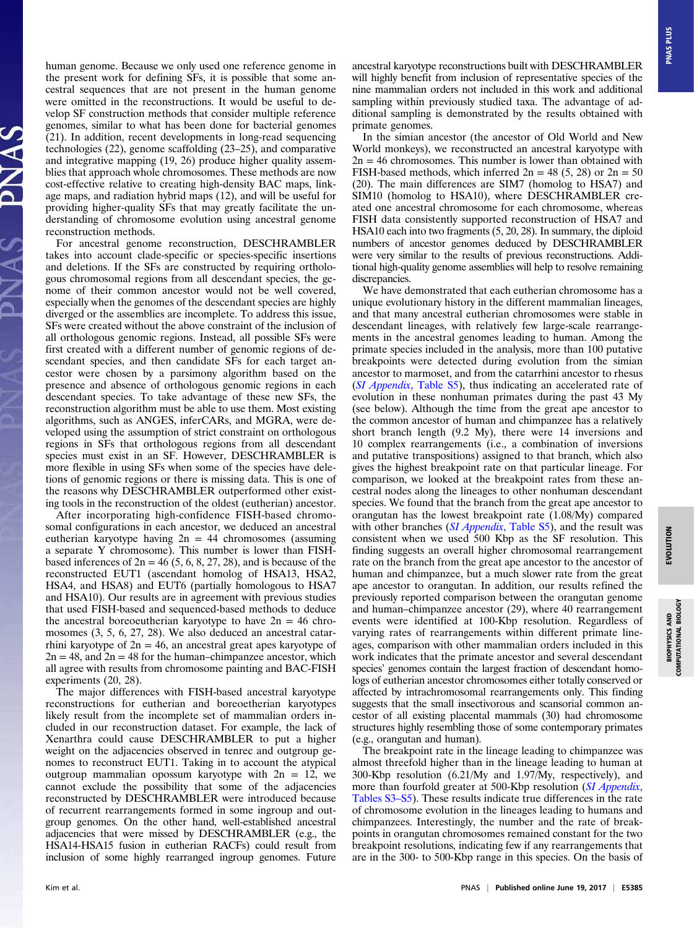human genome. Because we only used one reference genome in the present work for defining SFs, it is possible that some ancestral sequences that are not present in the human genome were omitted in the reconstructions. It would be useful to develop SF construction methods that consider multiple reference genomes, similar to what has been done for bacterial genomes (21). In addition, recent developments in long-read sequencing technologies (22), genome scaffolding (23–25), and comparative and integrative mapping (19, 26) produce higher quality assem-

blies that approach whole chromosomes. These methods are now cost-effective relative to creating high-density BAC maps, linkage maps, and radiation hybrid maps (12), and will be useful for providing higher-quality SFs that may greatly facilitate the understanding of chromosome evolution using ancestral genome reconstruction methods. For ancestral genome reconstruction, DESCHRAMBLER

takes into account clade-specific or species-specific insertions and deletions. If the SFs are constructed by requiring orthologous chromosomal regions from all descendant species, the genome of their common ancestor would not be well covered, especially when the genomes of the descendant species are highly diverged or the assemblies are incomplete. To address this issue, SFs were created without the above constraint of the inclusion of all orthologous genomic regions. Instead, all possible SFs were first created with a different number of genomic regions of descendant species, and then candidate SFs for each target ancestor were chosen by a parsimony algorithm based on the presence and absence of orthologous genomic regions in each descendant species. To take advantage of these new SFs, the reconstruction algorithm must be able to use them. Most existing algorithms, such as ANGES, inferCARs, and MGRA, were developed using the assumption of strict constraint on orthologous regions in SFs that orthologous regions from all descendant species must exist in an SF. However, DESCHRAMBLER is more flexible in using SFs when some of the species have deletions of genomic regions or there is missing data. This is one of the reasons why DESCHRAMBLER outperformed other existing tools in the reconstruction of the oldest (eutherian) ancestor.

After incorporating high-confidence FISH-based chromosomal configurations in each ancestor, we deduced an ancestral eutherian karyotype having  $2n = 44$  chromosomes (assuming a separate Y chromosome). This number is lower than FISHbased inferences of  $2n = 46 (5, 6, 8, 27, 28)$ , and is because of the reconstructed EUT1 (ascendant homolog of HSA13, HSA2, HSA4, and HSA8) and EUT6 (partially homologous to HSA7 and HSA10). Our results are in agreement with previous studies that used FISH-based and sequenced-based methods to deduce the ancestral boreoeutherian karyotype to have  $2n = 46$  chromosomes (3, 5, 6, 27, 28). We also deduced an ancestral catarrhini karyotype of  $2n = 46$ , an ancestral great apes karyotype of  $2n = 48$ , and  $2n = 48$  for the human–chimpanzee ancestor, which all agree with results from chromosome painting and BAC-FISH experiments (20, 28).

The major differences with FISH-based ancestral karyotype reconstructions for eutherian and boreoetherian karyotypes likely result from the incomplete set of mammalian orders included in our reconstruction dataset. For example, the lack of Xenarthra could cause DESCHRAMBLER to put a higher weight on the adjacencies observed in tenrec and outgroup genomes to reconstruct EUT1. Taking in to account the atypical outgroup mammalian opossum karyotype with  $2n = 12$ , we cannot exclude the possibility that some of the adjacencies reconstructed by DESCHRAMBLER were introduced because of recurrent rearrangements formed in some ingroup and outgroup genomes. On the other hand, well-established ancestral adjacencies that were missed by DESCHRAMBLER (e.g., the HSA14-HSA15 fusion in eutherian RACFs) could result from inclusion of some highly rearranged ingroup genomes. Future ancestral karyotype reconstructions built with DESCHRAMBLER will highly benefit from inclusion of representative species of the nine mammalian orders not included in this work and additional sampling within previously studied taxa. The advantage of additional sampling is demonstrated by the results obtained with primate genomes.

In the simian ancestor (the ancestor of Old World and New World monkeys), we reconstructed an ancestral karyotype with  $2n = 46$  chromosomes. This number is lower than obtained with FISH-based methods, which inferred  $2n = 48 (5, 28)$  or  $2n = 50$ (20). The main differences are SIM7 (homolog to HSA7) and SIM10 (homolog to HSA10), where DESCHRAMBLER created one ancestral chromosome for each chromosome, whereas FISH data consistently supported reconstruction of HSA7 and HSA10 each into two fragments (5, 20, 28). In summary, the diploid numbers of ancestor genomes deduced by DESCHRAMBLER were very similar to the results of previous reconstructions. Additional high-quality genome assemblies will help to resolve remaining discrepancies.

We have demonstrated that each eutherian chromosome has a unique evolutionary history in the different mammalian lineages, and that many ancestral eutherian chromosomes were stable in descendant lineages, with relatively few large-scale rearrangements in the ancestral genomes leading to human. Among the primate species included in the analysis, more than 100 putative breakpoints were detected during evolution from the simian ancestor to marmoset, and from the catarrhini ancestor to rhesus ([SI Appendix](http://www.pnas.org/lookup/suppl/doi:10.1073/pnas.1702012114/-/DCSupplemental/pnas.1702012114.sapp.pdf), Table S5), thus indicating an accelerated rate of evolution in these nonhuman primates during the past 43 My (see below). Although the time from the great ape ancestor to the common ancestor of human and chimpanzee has a relatively short branch length (9.2 My), there were 14 inversions and 10 complex rearrangements (i.e., a combination of inversions and putative transpositions) assigned to that branch, which also gives the highest breakpoint rate on that particular lineage. For comparison, we looked at the breakpoint rates from these ancestral nodes along the lineages to other nonhuman descendant species. We found that the branch from the great ape ancestor to orangutan has the lowest breakpoint rate (1.08/My) compared with other branches ([SI Appendix](http://www.pnas.org/lookup/suppl/doi:10.1073/pnas.1702012114/-/DCSupplemental/pnas.1702012114.sapp.pdf), Table S5), and the result was consistent when we used 500 Kbp as the SF resolution. This finding suggests an overall higher chromosomal rearrangement rate on the branch from the great ape ancestor to the ancestor of human and chimpanzee, but a much slower rate from the great ape ancestor to orangutan. In addition, our results refined the previously reported comparison between the orangutan genome and human–chimpanzee ancestor (29), where 40 rearrangement events were identified at 100-Kbp resolution. Regardless of varying rates of rearrangements within different primate lineages, comparison with other mammalian orders included in this work indicates that the primate ancestor and several descendant species' genomes contain the largest fraction of descendant homologs of eutherian ancestor chromosomes either totally conserved or affected by intrachromosomal rearrangements only. This finding suggests that the small insectivorous and scansorial common ancestor of all existing placental mammals (30) had chromosome structures highly resembling those of some contemporary primates (e.g., orangutan and human).

The breakpoint rate in the lineage leading to chimpanzee was almost threefold higher than in the lineage leading to human at 300-Kbp resolution (6.21/My and 1.97/My, respectively), and more than fourfold greater at 500-Kbp resolution ([SI Appendix](http://www.pnas.org/lookup/suppl/doi:10.1073/pnas.1702012114/-/DCSupplemental/pnas.1702012114.sapp.pdf), [Tables S3](http://www.pnas.org/lookup/suppl/doi:10.1073/pnas.1702012114/-/DCSupplemental/pnas.1702012114.sapp.pdf)–[S5\)](http://www.pnas.org/lookup/suppl/doi:10.1073/pnas.1702012114/-/DCSupplemental/pnas.1702012114.sapp.pdf). These results indicate true differences in the rate of chromosome evolution in the lineages leading to humans and chimpanzees. Interestingly, the number and the rate of breakpoints in orangutan chromosomes remained constant for the two breakpoint resolutions, indicating few if any rearrangements that are in the 300- to 500-Kbp range in this species. On the basis of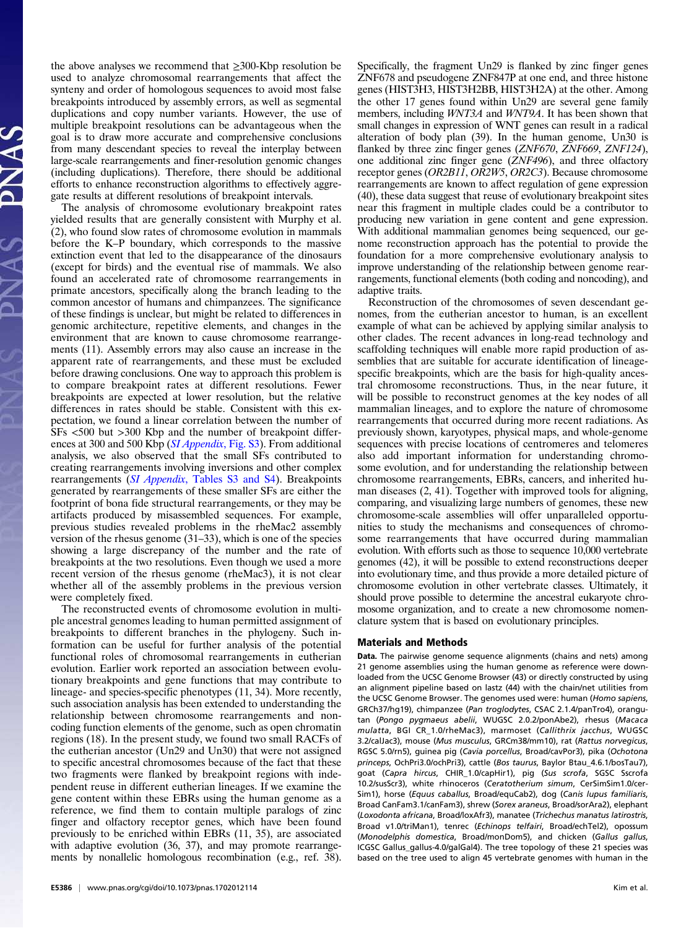the above analyses we recommend that  $\geq$ 300-Kbp resolution be used to analyze chromosomal rearrangements that affect the synteny and order of homologous sequences to avoid most false breakpoints introduced by assembly errors, as well as segmental duplications and copy number variants. However, the use of multiple breakpoint resolutions can be advantageous when the goal is to draw more accurate and comprehensive conclusions from many descendant species to reveal the interplay between large-scale rearrangements and finer-resolution genomic changes (including duplications). Therefore, there should be additional efforts to enhance reconstruction algorithms to effectively aggregate results at different resolutions of breakpoint intervals.

The analysis of chromosome evolutionary breakpoint rates yielded results that are generally consistent with Murphy et al. (2), who found slow rates of chromosome evolution in mammals before the K–P boundary, which corresponds to the massive extinction event that led to the disappearance of the dinosaurs (except for birds) and the eventual rise of mammals. We also found an accelerated rate of chromosome rearrangements in primate ancestors, specifically along the branch leading to the common ancestor of humans and chimpanzees. The significance of these findings is unclear, but might be related to differences in genomic architecture, repetitive elements, and changes in the environment that are known to cause chromosome rearrangements (11). Assembly errors may also cause an increase in the apparent rate of rearrangements, and these must be excluded before drawing conclusions. One way to approach this problem is to compare breakpoint rates at different resolutions. Fewer breakpoints are expected at lower resolution, but the relative differences in rates should be stable. Consistent with this expectation, we found a linear correlation between the number of SFs <500 but >300 Kbp and the number of breakpoint differences at 300 and 500 Kbp (*[SI Appendix](http://www.pnas.org/lookup/suppl/doi:10.1073/pnas.1702012114/-/DCSupplemental/pnas.1702012114.sapp.pdf)*, Fig. S3). From additional analysis, we also observed that the small SFs contributed to creating rearrangements involving inversions and other complex rearrangements (SI Appendix[, Tables S3 and S4](http://www.pnas.org/lookup/suppl/doi:10.1073/pnas.1702012114/-/DCSupplemental/pnas.1702012114.sapp.pdf)). Breakpoints generated by rearrangements of these smaller SFs are either the footprint of bona fide structural rearrangements, or they may be artifacts produced by misassembled sequences. For example, previous studies revealed problems in the rheMac2 assembly version of the rhesus genome (31–33), which is one of the species showing a large discrepancy of the number and the rate of breakpoints at the two resolutions. Even though we used a more recent version of the rhesus genome (rheMac3), it is not clear whether all of the assembly problems in the previous version were completely fixed.

The reconstructed events of chromosome evolution in multiple ancestral genomes leading to human permitted assignment of breakpoints to different branches in the phylogeny. Such information can be useful for further analysis of the potential functional roles of chromosomal rearrangements in eutherian evolution. Earlier work reported an association between evolutionary breakpoints and gene functions that may contribute to lineage- and species-specific phenotypes (11, 34). More recently, such association analysis has been extended to understanding the relationship between chromosome rearrangements and noncoding function elements of the genome, such as open chromatin regions (18). In the present study, we found two small RACFs of the eutherian ancestor (Un29 and Un30) that were not assigned to specific ancestral chromosomes because of the fact that these two fragments were flanked by breakpoint regions with independent reuse in different eutherian lineages. If we examine the gene content within these EBRs using the human genome as a reference, we find them to contain multiple paralogs of zinc finger and olfactory receptor genes, which have been found previously to be enriched within EBRs (11, 35), are associated with adaptive evolution (36, 37), and may promote rearrangements by nonallelic homologous recombination (e.g., ref. 38).

Specifically, the fragment Un29 is flanked by zinc finger genes ZNF678 and pseudogene ZNF847P at one end, and three histone genes (HIST3H3, HIST3H2BB, HIST3H2A) at the other. Among the other 17 genes found within Un29 are several gene family members, including *WNT3A* and *WNT9A*. It has been shown that small changes in expression of WNT genes can result in a radical alteration of body plan (39). In the human genome, Un30 is flanked by three zinc finger genes (ZNF670, ZNF669, ZNF124), one additional zinc finger gene (ZNF496), and three olfactory receptor genes (OR2B11, OR2W5, OR2C3). Because chromosome rearrangements are known to affect regulation of gene expression (40), these data suggest that reuse of evolutionary breakpoint sites near this fragment in multiple clades could be a contributor to producing new variation in gene content and gene expression. With additional mammalian genomes being sequenced, our genome reconstruction approach has the potential to provide the foundation for a more comprehensive evolutionary analysis to improve understanding of the relationship between genome rearrangements, functional elements (both coding and noncoding), and adaptive traits.

Reconstruction of the chromosomes of seven descendant genomes, from the eutherian ancestor to human, is an excellent example of what can be achieved by applying similar analysis to other clades. The recent advances in long-read technology and scaffolding techniques will enable more rapid production of assemblies that are suitable for accurate identification of lineagespecific breakpoints, which are the basis for high-quality ancestral chromosome reconstructions. Thus, in the near future, it will be possible to reconstruct genomes at the key nodes of all mammalian lineages, and to explore the nature of chromosome rearrangements that occurred during more recent radiations. As previously shown, karyotypes, physical maps, and whole-genome sequences with precise locations of centromeres and telomeres also add important information for understanding chromosome evolution, and for understanding the relationship between chromosome rearrangements, EBRs, cancers, and inherited human diseases (2, 41). Together with improved tools for aligning, comparing, and visualizing large numbers of genomes, these new chromosome-scale assemblies will offer unparalleled opportunities to study the mechanisms and consequences of chromosome rearrangements that have occurred during mammalian evolution. With efforts such as those to sequence 10,000 vertebrate genomes (42), it will be possible to extend reconstructions deeper into evolutionary time, and thus provide a more detailed picture of chromosome evolution in other vertebrate classes. Ultimately, it should prove possible to determine the ancestral eukaryote chromosome organization, and to create a new chromosome nomenclature system that is based on evolutionary principles.

#### Materials and Methods

Data. The pairwise genome sequence alignments (chains and nets) among 21 genome assemblies using the human genome as reference were downloaded from the UCSC Genome Browser (43) or directly constructed by using an alignment pipeline based on lastz (44) with the chain/net utilities from the UCSC Genome Browser. The genomes used were: human (Homo sapiens, GRCh37/hg19), chimpanzee (Pan troglodytes, CSAC 2.1.4/panTro4), orangutan (Pongo pygmaeus abelii, WUGSC 2.0.2/ponAbe2), rhesus (Macaca mulatta, BGI CR\_1.0/rheMac3), marmoset (Callithrix jacchus, WUGSC 3.2/calJac3), mouse (Mus musculus, GRCm38/mm10), rat (Rattus norvegicus, RGSC 5.0/rn5), guinea pig (Cavia porcellus, Broad/cavPor3), pika (Ochotona princeps, OchPri3.0/ochPri3), cattle (Bos taurus, Baylor Btau\_4.6.1/bosTau7), goat (Capra hircus, CHIR\_1.0/capHir1), pig (Sus scrofa, SGSC Sscrofa 10.2/susScr3), white rhinoceros (Ceratotherium simum, CerSimSim1.0/cer-Sim1), horse (Equus caballus, Broad/equCab2), dog (Canis lupus familiaris, Broad CanFam3.1/canFam3), shrew (Sorex araneus, Broad/sorAra2), elephant (Loxodonta africana, Broad/loxAfr3), manatee (Trichechus manatus latirostris, Broad v1.0/triMan1), tenrec (Echinops telfairi, Broad/echTel2), opossum (Monodelphis domestica, Broad/monDom5), and chicken (Gallus gallus, ICGSC Gallus\_gallus-4.0/galGal4). The tree topology of these 21 species was based on the tree used to align 45 vertebrate genomes with human in the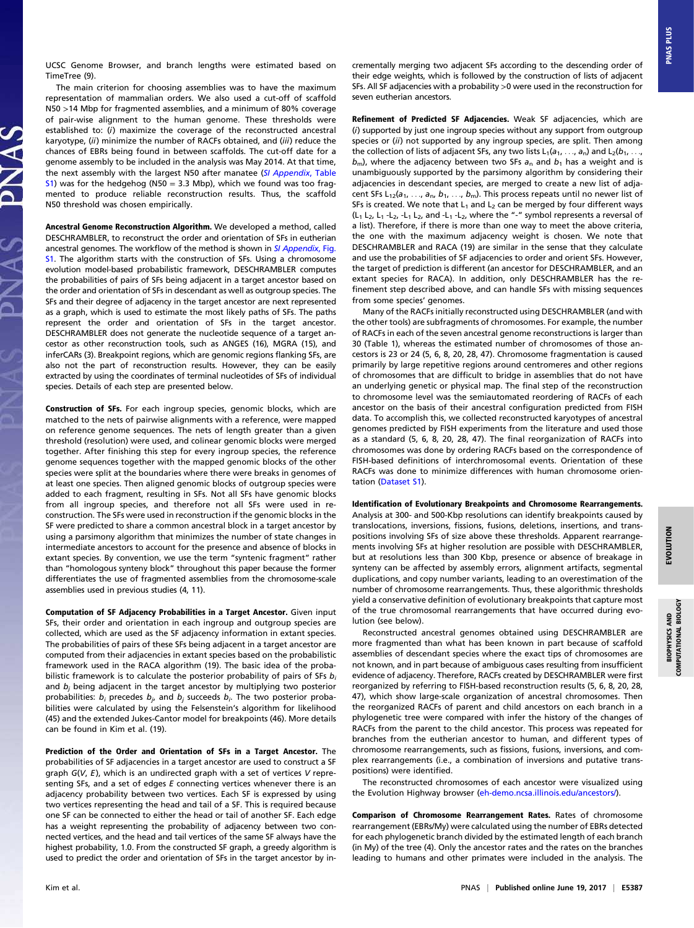The main criterion for choosing assemblies was to have the maximum representation of mammalian orders. We also used a cut-off of scaffold N50 >14 Mbp for fragmented assemblies, and a minimum of 80% coverage of pair-wise alignment to the human genome. These thresholds were established to: (i) maximize the coverage of the reconstructed ancestral karyotype, (ii) minimize the number of RACFs obtained, and (iii) reduce the chances of EBRs being found in between scaffolds. The cut-off date for a genome assembly to be included in the analysis was May 2014. At that time, the next assembly with the largest N50 after manatee ([SI Appendix](http://www.pnas.org/lookup/suppl/doi:10.1073/pnas.1702012114/-/DCSupplemental/pnas.1702012114.sapp.pdf), Table [S1\)](http://www.pnas.org/lookup/suppl/doi:10.1073/pnas.1702012114/-/DCSupplemental/pnas.1702012114.sapp.pdf) was for the hedgehog (N50 = 3.3 Mbp), which we found was too fragmented to produce reliable reconstruction results. Thus, the scaffold N50 threshold was chosen empirically.

Ancestral Genome Reconstruction Algorithm. We developed a method, called DESCHRAMBLER, to reconstruct the order and orientation of SFs in eutherian ancestral genomes. The workflow of the method is shown in [SI Appendix](http://www.pnas.org/lookup/suppl/doi:10.1073/pnas.1702012114/-/DCSupplemental/pnas.1702012114.sapp.pdf), Fig. [S1.](http://www.pnas.org/lookup/suppl/doi:10.1073/pnas.1702012114/-/DCSupplemental/pnas.1702012114.sapp.pdf) The algorithm starts with the construction of SFs. Using a chromosome evolution model-based probabilistic framework, DESCHRAMBLER computes the probabilities of pairs of SFs being adjacent in a target ancestor based on the order and orientation of SFs in descendant as well as outgroup species. The SFs and their degree of adjacency in the target ancestor are next represented as a graph, which is used to estimate the most likely paths of SFs. The paths represent the order and orientation of SFs in the target ancestor. DESCHRAMBLER does not generate the nucleotide sequence of a target ancestor as other reconstruction tools, such as ANGES (16), MGRA (15), and inferCARs (3). Breakpoint regions, which are genomic regions flanking SFs, are also not the part of reconstruction results. However, they can be easily extracted by using the coordinates of terminal nucleotides of SFs of individual species. Details of each step are presented below.

Construction of SFs. For each ingroup species, genomic blocks, which are matched to the nets of pairwise alignments with a reference, were mapped on reference genome sequences. The nets of length greater than a given threshold (resolution) were used, and colinear genomic blocks were merged together. After finishing this step for every ingroup species, the reference genome sequences together with the mapped genomic blocks of the other species were split at the boundaries where there were breaks in genomes of at least one species. Then aligned genomic blocks of outgroup species were added to each fragment, resulting in SFs. Not all SFs have genomic blocks from all ingroup species, and therefore not all SFs were used in reconstruction. The SFs were used in reconstruction if the genomic blocks in the SF were predicted to share a common ancestral block in a target ancestor by using a parsimony algorithm that minimizes the number of state changes in intermediate ancestors to account for the presence and absence of blocks in extant species. By convention, we use the term "syntenic fragment" rather than "homologous synteny block" throughout this paper because the former differentiates the use of fragmented assemblies from the chromosome-scale assemblies used in previous studies (4, 11).

Computation of SF Adjacency Probabilities in a Target Ancestor. Given input SFs, their order and orientation in each ingroup and outgroup species are collected, which are used as the SF adjacency information in extant species. The probabilities of pairs of these SFs being adjacent in a target ancestor are computed from their adjacencies in extant species based on the probabilistic framework used in the RACA algorithm (19). The basic idea of the probabilistic framework is to calculate the posterior probability of pairs of SFs  $b_i$ and  $b_i$  being adjacent in the target ancestor by multiplying two posterior probabilities:  $b_i$  precedes  $b_j$ , and  $b_j$  succeeds  $b_i$ . The two posterior probabilities were calculated by using the Felsenstein's algorithm for likelihood (45) and the extended Jukes-Cantor model for breakpoints (46). More details can be found in Kim et al. (19).

Prediction of the Order and Orientation of SFs in a Target Ancestor. The probabilities of SF adjacencies in a target ancestor are used to construct a SF graph  $G(V, E)$ , which is an undirected graph with a set of vertices V representing SFs, and a set of edges  $E$  connecting vertices whenever there is an adjacency probability between two vertices. Each SF is expressed by using two vertices representing the head and tail of a SF. This is required because one SF can be connected to either the head or tail of another SF. Each edge has a weight representing the probability of adjacency between two connected vertices, and the head and tail vertices of the same SF always have the highest probability, 1.0. From the constructed SF graph, a greedy algorithm is used to predict the order and orientation of SFs in the target ancestor by incrementally merging two adjacent SFs according to the descending order of their edge weights, which is followed by the construction of lists of adjacent SFs. All SF adjacencies with a probability >0 were used in the reconstruction for seven eutherian ancestors.

Refinement of Predicted SF Adjacencies. Weak SF adjacencies, which are (i) supported by just one ingroup species without any support from outgroup species or (ii) not supported by any ingroup species, are split. Then among the collection of lists of adjacent SFs, any two lists  $L_1(a_1, \ldots, a_n)$  and  $L_2(b_1, \ldots,$  $b<sub>m</sub>$ ), where the adjacency between two SFs  $a<sub>n</sub>$  and  $b<sub>1</sub>$  has a weight and is unambiguously supported by the parsimony algorithm by considering their adjacencies in descendant species, are merged to create a new list of adjacent SFs L<sub>12</sub>(a<sub>1</sub>, ..., a<sub>n</sub>, b<sub>1</sub>, ..., b<sub>m</sub>). This process repeats until no newer list of SFs is created. We note that  $L_1$  and  $L_2$  can be merged by four different ways  $(L_1 L_2, L_1 L_2, -L_1 L_2,$  and  $-L_1 - L_2$ , where the "-" symbol represents a reversal of a list). Therefore, if there is more than one way to meet the above criteria, the one with the maximum adjacency weight is chosen. We note that DESCHRAMBLER and RACA (19) are similar in the sense that they calculate and use the probabilities of SF adjacencies to order and orient SFs. However, the target of prediction is different (an ancestor for DESCHRAMBLER, and an extant species for RACA). In addition, only DESCHRAMBLER has the refinement step described above, and can handle SFs with missing sequences from some species' genomes.

Many of the RACFs initially reconstructed using DESCHRAMBLER (and with the other tools) are subfragments of chromosomes. For example, the number of RACFs in each of the seven ancestral genome reconstructions is larger than 30 (Table 1), whereas the estimated number of chromosomes of those ancestors is 23 or 24 (5, 6, 8, 20, 28, 47). Chromosome fragmentation is caused primarily by large repetitive regions around centromeres and other regions of chromosomes that are difficult to bridge in assemblies that do not have an underlying genetic or physical map. The final step of the reconstruction to chromosome level was the semiautomated reordering of RACFs of each ancestor on the basis of their ancestral configuration predicted from FISH data. To accomplish this, we collected reconstructed karyotypes of ancestral genomes predicted by FISH experiments from the literature and used those as a standard (5, 6, 8, 20, 28, 47). The final reorganization of RACFs into chromosomes was done by ordering RACFs based on the correspondence of FISH-based definitions of interchromosomal events. Orientation of these RACFs was done to minimize differences with human chromosome orientation [\(Dataset S1](http://www.pnas.org/lookup/suppl/doi:10.1073/pnas.1702012114/-/DCSupplemental/pnas.1702012114.sd01.xlsx)).

Identification of Evolutionary Breakpoints and Chromosome Rearrangements. Analysis at 300- and 500-Kbp resolutions can identify breakpoints caused by translocations, inversions, fissions, fusions, deletions, insertions, and transpositions involving SFs of size above these thresholds. Apparent rearrangements involving SFs at higher resolution are possible with DESCHRAMBLER, but at resolutions less than 300 Kbp, presence or absence of breakage in synteny can be affected by assembly errors, alignment artifacts, segmental duplications, and copy number variants, leading to an overestimation of the number of chromosome rearrangements. Thus, these algorithmic thresholds yield a conservative definition of evolutionary breakpoints that capture most of the true chromosomal rearrangements that have occurred during evolution (see below).

Reconstructed ancestral genomes obtained using DESCHRAMBLER are more fragmented than what has been known in part because of scaffold assemblies of descendant species where the exact tips of chromosomes are not known, and in part because of ambiguous cases resulting from insufficient evidence of adjacency. Therefore, RACFs created by DESCHRAMBLER were first reorganized by referring to FISH-based reconstruction results (5, 6, 8, 20, 28, 47), which show large-scale organization of ancestral chromosomes. Then the reorganized RACFs of parent and child ancestors on each branch in a phylogenetic tree were compared with infer the history of the changes of RACFs from the parent to the child ancestor. This process was repeated for branches from the eutherian ancestor to human, and different types of chromosome rearrangements, such as fissions, fusions, inversions, and complex rearrangements (i.e., a combination of inversions and putative transpositions) were identified.

The reconstructed chromosomes of each ancestor were visualized using the Evolution Highway browser ([eh-demo.ncsa.illinois.edu/ancestors/](http://eh-demo.ncsa.illinois.edu/ancestors/)).

Comparison of Chromosome Rearrangement Rates. Rates of chromosome rearrangement (EBRs/My) were calculated using the number of EBRs detected for each phylogenetic branch divided by the estimated length of each branch (in My) of the tree (4). Only the ancestor rates and the rates on the branches leading to humans and other primates were included in the analysis. The

BIOPHYSICS AND COMPUTATIONAL BIOLOGY

BIOPHYSICS AND<br>COMPUTATIONAL BIOLOGY